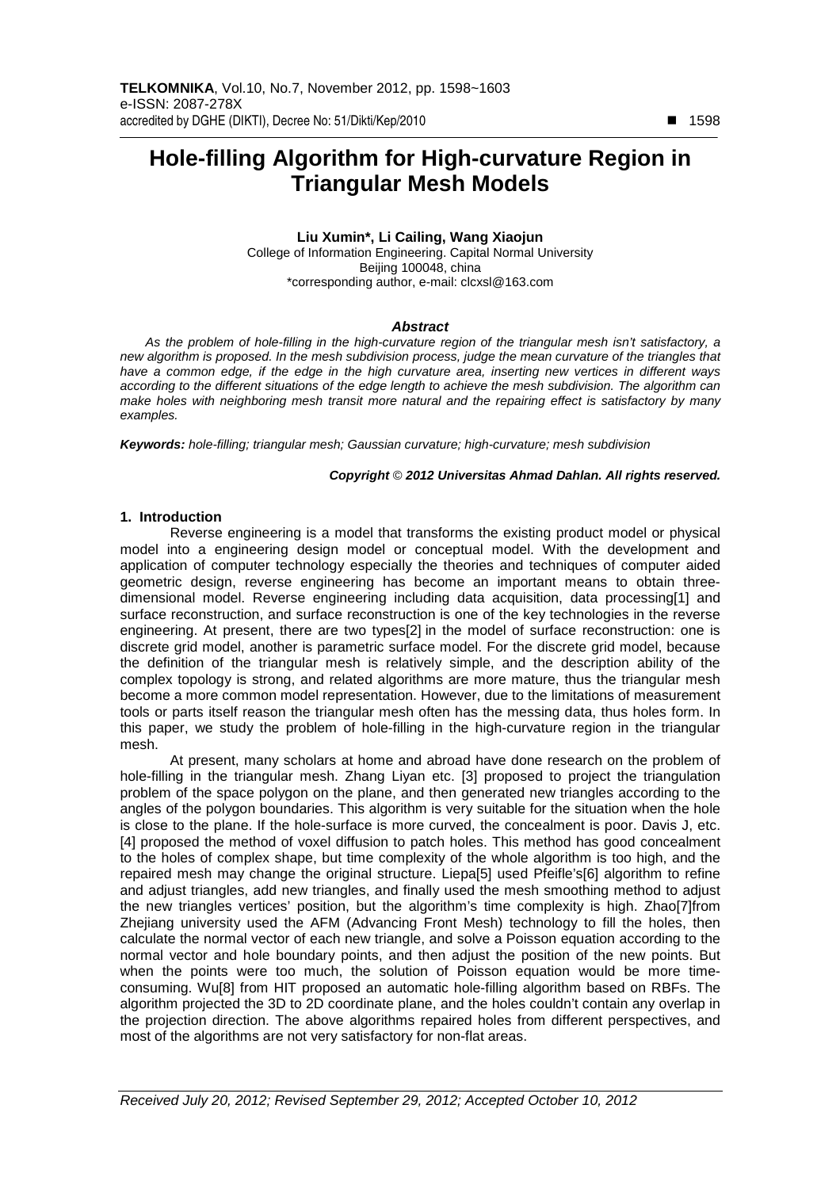# **Hole-filling Algorithm for High-curvature Region in Triangular Mesh Models**

## **Liu Xumin\*, Li Cailing, Wang Xiaojun**  College of Information Engineering. Capital Normal University Beijing 100048, china \*corresponding author, e-mail: clcxsl@163.com

## **Abstract**

As the problem of hole-filling in the high-curvature region of the triangular mesh isn't satisfactory, a new algorithm is proposed. In the mesh subdivision process, judge the mean curvature of the triangles that have a common edge, if the edge in the high curvature area, inserting new vertices in different ways according to the different situations of the edge length to achieve the mesh subdivision. The algorithm can make holes with neighboring mesh transit more natural and the repairing effect is satisfactory by many examples.

**Keywords:** hole-filling; triangular mesh; Gaussian curvature; high-curvature; mesh subdivision

#### **Copyright** © **2012 Universitas Ahmad Dahlan. All rights reserved.**

## **1. Introduction**

Reverse engineering is a model that transforms the existing product model or physical model into a engineering design model or conceptual model. With the development and application of computer technology especially the theories and techniques of computer aided geometric design, reverse engineering has become an important means to obtain threedimensional model. Reverse engineering including data acquisition, data processing[1] and surface reconstruction, and surface reconstruction is one of the key technologies in the reverse engineering. At present, there are two types[2] in the model of surface reconstruction: one is discrete grid model, another is parametric surface model. For the discrete grid model, because the definition of the triangular mesh is relatively simple, and the description ability of the complex topology is strong, and related algorithms are more mature, thus the triangular mesh become a more common model representation. However, due to the limitations of measurement tools or parts itself reason the triangular mesh often has the messing data, thus holes form. In this paper, we study the problem of hole-filling in the high-curvature region in the triangular mesh.

At present, many scholars at home and abroad have done research on the problem of hole-filling in the triangular mesh. Zhang Liyan etc. [3] proposed to project the triangulation problem of the space polygon on the plane, and then generated new triangles according to the angles of the polygon boundaries. This algorithm is very suitable for the situation when the hole is close to the plane. If the hole-surface is more curved, the concealment is poor. Davis J, etc. [4] proposed the method of voxel diffusion to patch holes. This method has good concealment to the holes of complex shape, but time complexity of the whole algorithm is too high, and the repaired mesh may change the original structure. Liepa[5] used Pfeifle's[6] algorithm to refine and adjust triangles, add new triangles, and finally used the mesh smoothing method to adjust the new triangles vertices' position, but the algorithm's time complexity is high. Zhao[7]from Zhejiang university used the AFM (Advancing Front Mesh) technology to fill the holes, then calculate the normal vector of each new triangle, and solve a Poisson equation according to the normal vector and hole boundary points, and then adjust the position of the new points. But when the points were too much, the solution of Poisson equation would be more timeconsuming. Wu[8] from HIT proposed an automatic hole-filling algorithm based on RBFs. The algorithm projected the 3D to 2D coordinate plane, and the holes couldn't contain any overlap in the projection direction. The above algorithms repaired holes from different perspectives, and most of the algorithms are not very satisfactory for non-flat areas.

-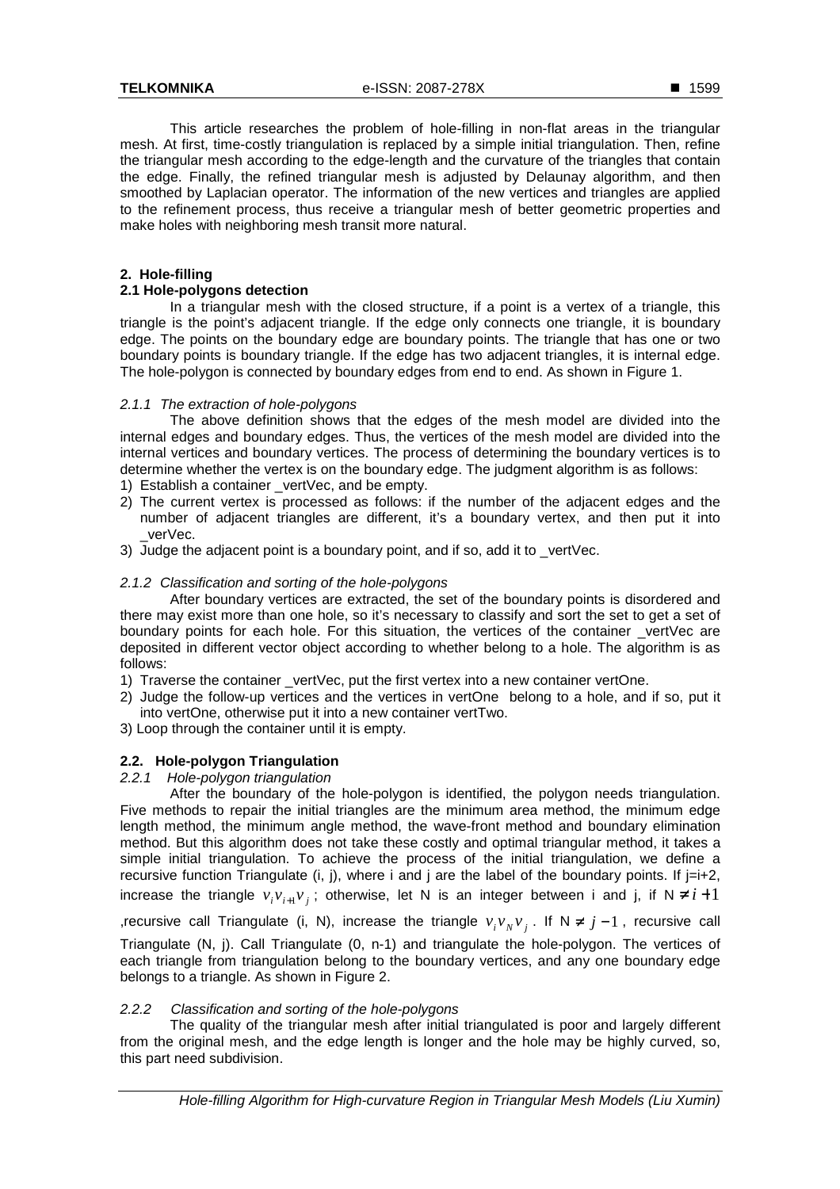■ 1599

This article researches the problem of hole-filling in non-flat areas in the triangular mesh. At first, time-costly triangulation is replaced by a simple initial triangulation. Then, refine the triangular mesh according to the edge-length and the curvature of the triangles that contain the edge. Finally, the refined triangular mesh is adjusted by Delaunay algorithm, and then smoothed by Laplacian operator. The information of the new vertices and triangles are applied to the refinement process, thus receive a triangular mesh of better geometric properties and make holes with neighboring mesh transit more natural.

# **2. Hole-filling**

## **2.1 Hole-polygons detection**

In a triangular mesh with the closed structure, if a point is a vertex of a triangle, this triangle is the point's adjacent triangle. If the edge only connects one triangle, it is boundary edge. The points on the boundary edge are boundary points. The triangle that has one or two boundary points is boundary triangle. If the edge has two adjacent triangles, it is internal edge. The hole-polygon is connected by boundary edges from end to end. As shown in Figure 1.

# 2.1.1 The extraction of hole-polygons

The above definition shows that the edges of the mesh model are divided into the internal edges and boundary edges. Thus, the vertices of the mesh model are divided into the internal vertices and boundary vertices. The process of determining the boundary vertices is to determine whether the vertex is on the boundary edge. The judgment algorithm is as follows:

- 1) Establish a container \_vertVec, and be empty.
- 2) The current vertex is processed as follows: if the number of the adjacent edges and the number of adjacent triangles are different, it's a boundary vertex, and then put it into \_verVec.
- 3) Judge the adjacent point is a boundary point, and if so, add it to vertVec.

# 2.1.2 Classification and sorting of the hole-polygons

After boundary vertices are extracted, the set of the boundary points is disordered and there may exist more than one hole, so it's necessary to classify and sort the set to get a set of boundary points for each hole. For this situation, the vertices of the container \_vertVec are deposited in different vector object according to whether belong to a hole. The algorithm is as follows:

- 1) Traverse the container \_vertVec, put the first vertex into a new container vertOne.
- 2) Judge the follow-up vertices and the vertices in vertOne belong to a hole, and if so, put it into vertOne, otherwise put it into a new container vertTwo.
- 3) Loop through the container until it is empty.

# **2.2. Hole-polygon Triangulation**

#### 2.2.1 Hole-polygon triangulation

After the boundary of the hole-polygon is identified, the polygon needs triangulation. Five methods to repair the initial triangles are the minimum area method, the minimum edge length method, the minimum angle method, the wave-front method and boundary elimination method. But this algorithm does not take these costly and optimal triangular method, it takes a simple initial triangulation. To achieve the process of the initial triangulation, we define a recursive function Triangulate (i, j), where i and j are the label of the boundary points. If  $j=i+2$ , increase the triangle  $v_i v_{i+1} v_j$ ; otherwise, let N is an integer between i and j, if  $N \neq i+1$ ,recursive call Triangulate (i, N), increase the triangle  $v_i v_N v_j$ . If  $N \neq j-1$ , recursive call Triangulate (N, j). Call Triangulate (0, n-1) and triangulate the hole-polygon. The vertices of each triangle from triangulation belong to the boundary vertices, and any one boundary edge belongs to a triangle. As shown in Figure 2.

# 2.2.2 Classification and sorting of the hole-polygons

The quality of the triangular mesh after initial triangulated is poor and largely different from the original mesh, and the edge length is longer and the hole may be highly curved, so, this part need subdivision.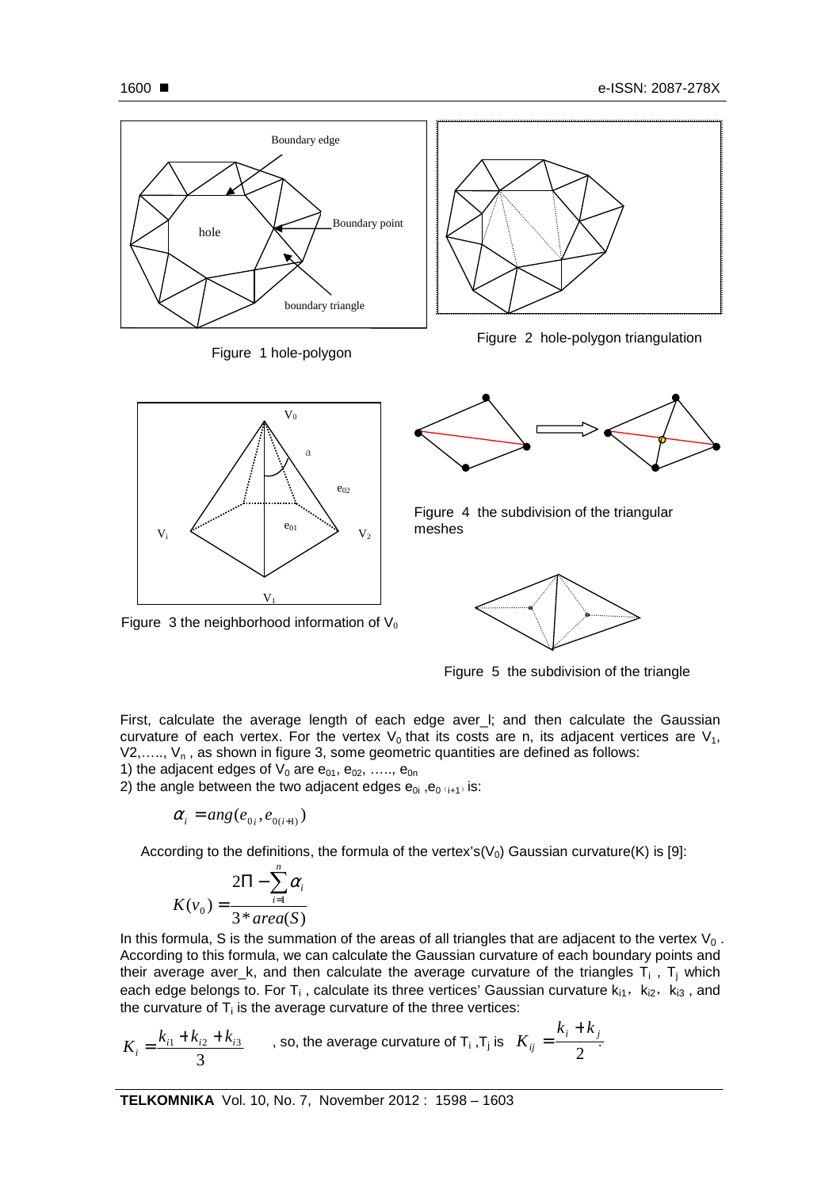



Figure 3 the neighborhood information of  $V_0$ 



Figure 4 the subdivision of the triangular meshes



Figure 5 the subdivision of the triangle

First, calculate the average length of each edge aver I; and then calculate the Gaussian curvature of each vertex. For the vertex  $V_0$  that its costs are n, its adjacent vertices are  $V_1$ ,  $V_1, \ldots, V_n$ , as shown in figure 3, some geometric quantities are defined as follows:

1) the adjacent edges of  $V_0$  are  $e_{01}$ ,  $e_{02}$ , .....,  $e_{0n}$ 

2) the angle between the two adjacent edges  $e_{0i}$ ,  $e_{0(i+1)}$  is:

$$
\alpha_i = \arg(e_{0i}, e_{0(i+1)})
$$

According to the definitions, the formula of the vertex's( $V_0$ ) Gaussian curvature(K) is [9]:

$$
K(v_0) = \frac{2\Pi - \sum_{i=1}^{n} \alpha_i}{3 * area(S)}
$$

In this formula, S is the summation of the areas of all triangles that are adjacent to the vertex  $V_0$ . According to this formula, we can calculate the Gaussian curvature of each boundary points and their average aver\_k, and then calculate the average curvature of the triangles  $T_i$  ,  $T_j$  which each edge belongs to. For T<sub>i</sub>, calculate its three vertices' Gaussian curvature  $k_{i1}$ ,  $k_{i2}$ ,  $k_{i3}$ , and the curvature of  $T_i$  is the average curvature of the three vertices:

$$
K_i = \frac{k_{i1} + k_{i2} + k_{i3}}{3}
$$
, so, the average curvature of T<sub>i</sub>, T<sub>j</sub> is  $K_{ij} = \frac{k_i + k_j}{2}$ .

**TELKOMNIKA** Vol. 10, No. 7, November 2012 : 1598 – 1603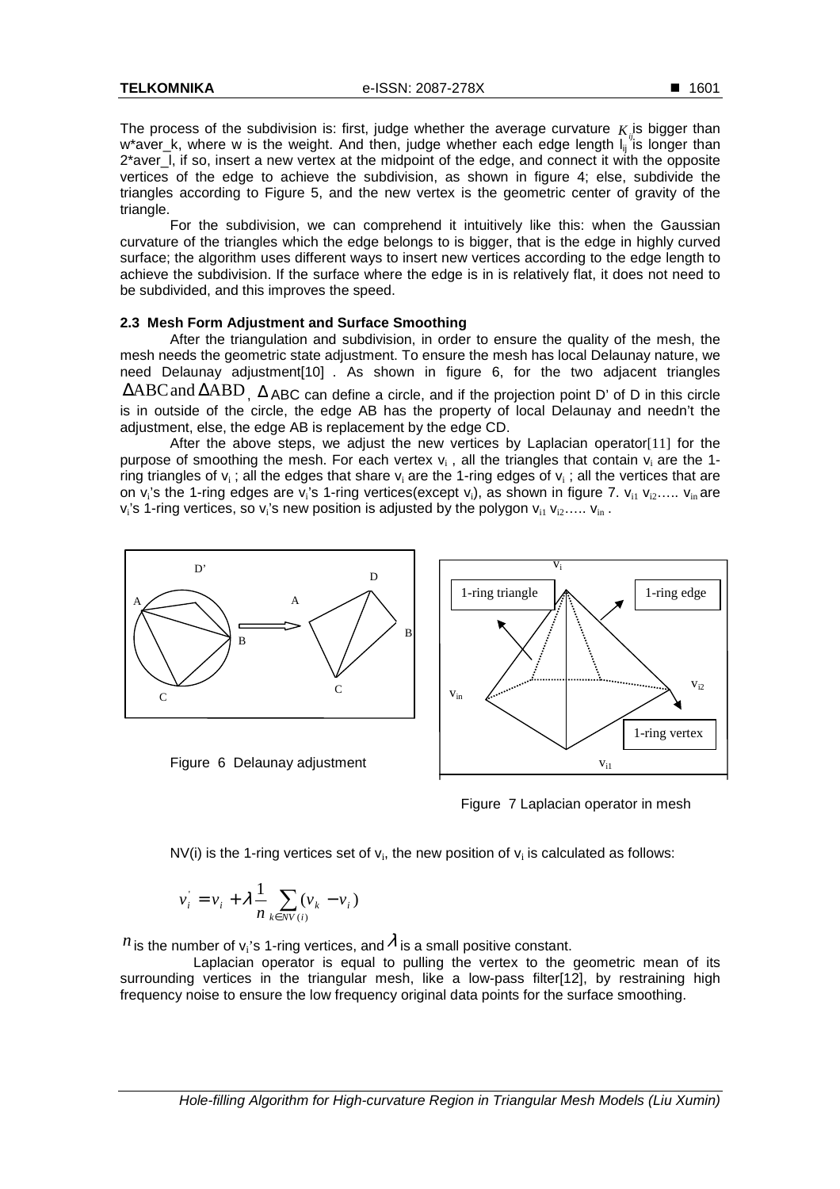For the subdivision, we can comprehend it intuitively like this: when the Gaussian curvature of the triangles which the edge belongs to is bigger, that is the edge in highly curved surface; the algorithm uses different ways to insert new vertices according to the edge length to achieve the subdivision. If the surface where the edge is in is relatively flat, it does not need to be subdivided, and this improves the speed.

## **2.3 Mesh Form Adjustment and Surface Smoothing**

After the triangulation and subdivision, in order to ensure the quality of the mesh, the mesh needs the geometric state adjustment. To ensure the mesh has local Delaunay nature, we need Delaunay adjustment[10] . As shown in figure 6, for the two adjacent triangles ∆ABCand ∆ABD, ∆ ABC can define a circle, and if the projection point D' of D in this circle is in outside of the circle, the edge AB has the property of local Delaunay and needn't the adjustment, else, the edge AB is replacement by the edge CD.

After the above steps, we adjust the new vertices by Laplacian operator[11] for the purpose of smoothing the mesh. For each vertex  $v_i$ , all the triangles that contain  $v_i$  are the 1ring triangles of  $v_i$ ; all the edges that share  $v_i$  are the 1-ring edges of  $v_i$ ; all the vertices that are on  $v_i$ 's the 1-ring edges are  $v_i$ 's 1-ring vertices(except  $v_i$ ), as shown in figure 7.  $v_{i1}$   $v_{i2}$ .....  $v_{in}$  are  $v_i$ 's 1-ring vertices, so  $v_i$ 's new position is adjusted by the polygon  $v_{i1}$   $v_{i2}$ .....  $v_{in}$  .



Figure 7 Laplacian operator in mesh

NV(i) is the 1-ring vertices set of  $v_i$ , the new position of  $v_i$  is calculated as follows:

$$
v_i = v_i + \lambda \frac{1}{n} \sum_{k \in NV(i)} (v_k - v_i)
$$

*n* is the number of  $v_i$ 's 1-ring vertices, and  $\lambda$  is a small positive constant.

 Laplacian operator is equal to pulling the vertex to the geometric mean of its surrounding vertices in the triangular mesh, like a low-pass filter[12], by restraining high frequency noise to ensure the low frequency original data points for the surface smoothing.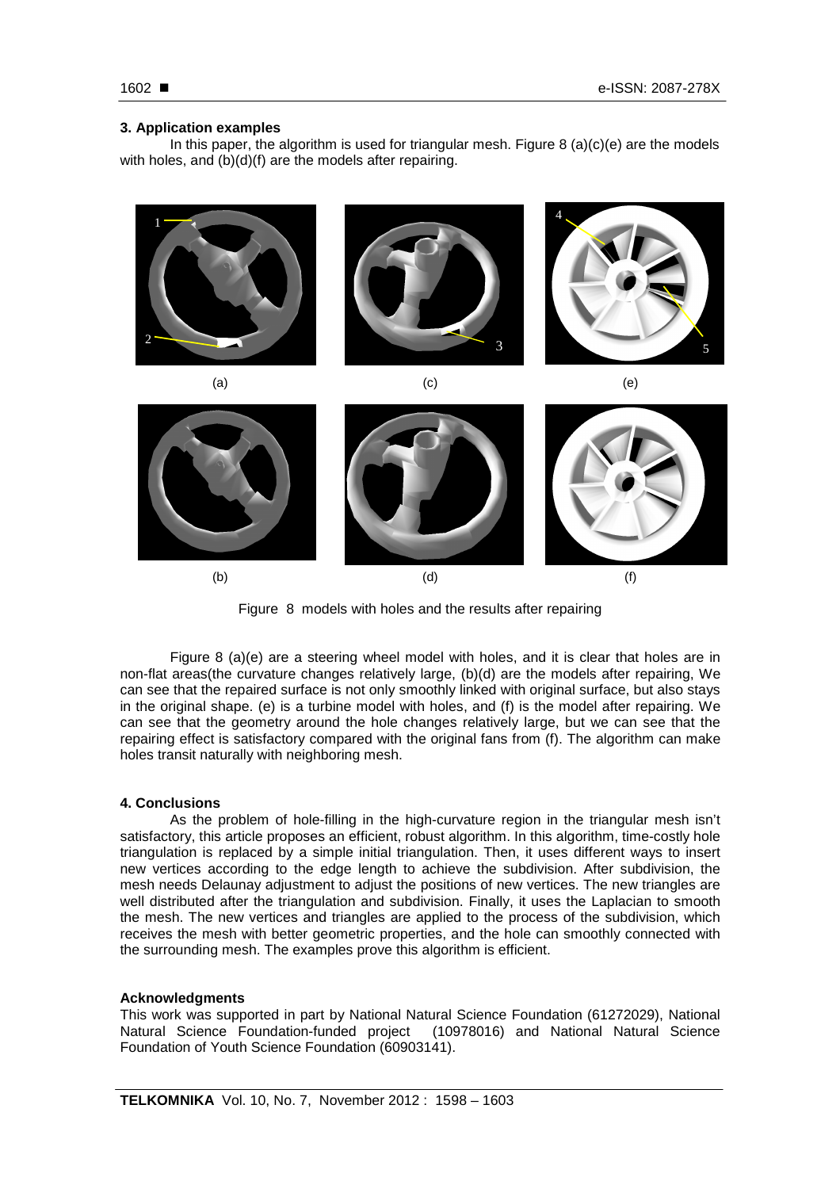## **3. Application examples**

In this paper, the algorithm is used for triangular mesh. Figure  $8(a)(c)(e)$  are the models with holes, and (b)(d)(f) are the models after repairing.



Figure 8 models with holes and the results after repairing

Figure 8 (a)(e) are a steering wheel model with holes, and it is clear that holes are in non-flat areas(the curvature changes relatively large, (b)(d) are the models after repairing, We can see that the repaired surface is not only smoothly linked with original surface, but also stays in the original shape. (e) is a turbine model with holes, and (f) is the model after repairing. We can see that the geometry around the hole changes relatively large, but we can see that the repairing effect is satisfactory compared with the original fans from (f). The algorithm can make holes transit naturally with neighboring mesh.

# **4. Conclusions**

As the problem of hole-filling in the high-curvature region in the triangular mesh isn't satisfactory, this article proposes an efficient, robust algorithm. In this algorithm, time-costly hole triangulation is replaced by a simple initial triangulation. Then, it uses different ways to insert new vertices according to the edge length to achieve the subdivision. After subdivision, the mesh needs Delaunay adjustment to adjust the positions of new vertices. The new triangles are well distributed after the triangulation and subdivision. Finally, it uses the Laplacian to smooth the mesh. The new vertices and triangles are applied to the process of the subdivision, which receives the mesh with better geometric properties, and the hole can smoothly connected with the surrounding mesh. The examples prove this algorithm is efficient.

#### **Acknowledgments**

This work was supported in part by National Natural Science Foundation (61272029), National Natural Science Foundation-funded project (10978016) and National Natural Science Foundation of Youth Science Foundation (60903141).